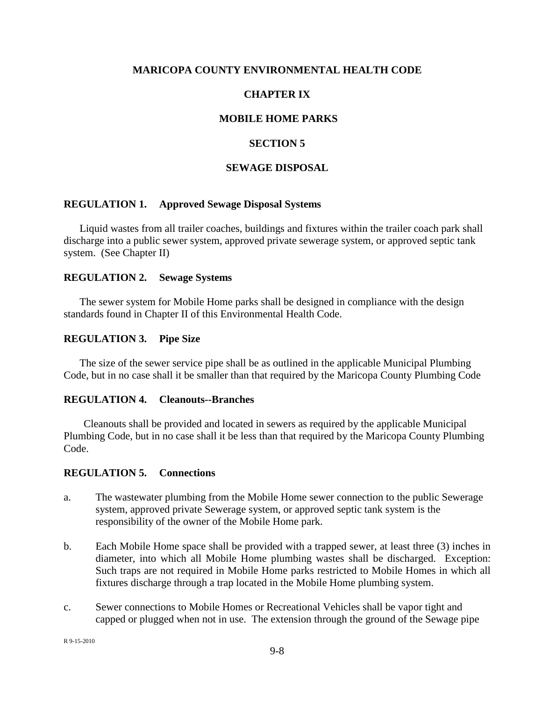## **MARICOPA COUNTY ENVIRONMENTAL HEALTH CODE**

# **CHAPTER IX**

## **MOBILE HOME PARKS**

## **SECTION 5**

## **SEWAGE DISPOSAL**

## **REGULATION 1. Approved Sewage Disposal Systems**

Liquid wastes from all trailer coaches, buildings and fixtures within the trailer coach park shall discharge into a public sewer system, approved private sewerage system, or approved septic tank system. (See Chapter II)

#### **REGULATION 2. Sewage Systems**

The sewer system for Mobile Home parks shall be designed in compliance with the design standards found in Chapter II of this Environmental Health Code.

#### **REGULATION 3. Pipe Size**

The size of the sewer service pipe shall be as outlined in the applicable Municipal Plumbing Code, but in no case shall it be smaller than that required by the Maricopa County Plumbing Code

#### **REGULATION 4. Cleanouts--Branches**

Cleanouts shall be provided and located in sewers as required by the applicable Municipal Plumbing Code, but in no case shall it be less than that required by the Maricopa County Plumbing Code.

## **REGULATION 5. Connections**

- a. The wastewater plumbing from the Mobile Home sewer connection to the public Sewerage system, approved private Sewerage system, or approved septic tank system is the responsibility of the owner of the Mobile Home park.
- b. Each Mobile Home space shall be provided with a trapped sewer, at least three (3) inches in diameter, into which all Mobile Home plumbing wastes shall be discharged. Exception: Such traps are not required in Mobile Home parks restricted to Mobile Homes in which all fixtures discharge through a trap located in the Mobile Home plumbing system.
- c. Sewer connections to Mobile Homes or Recreational Vehicles shall be vapor tight and capped or plugged when not in use. The extension through the ground of the Sewage pipe

R 9-15-2010